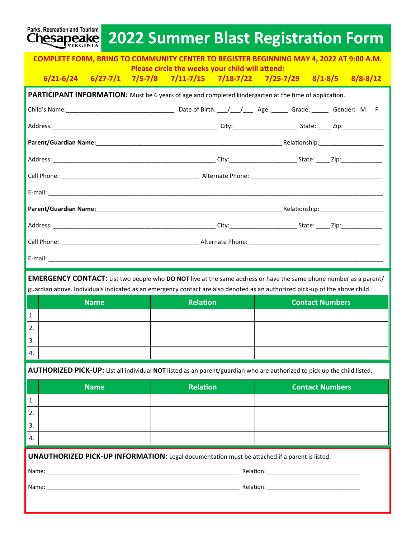| Parks, Recreation and Tourism<br><b>Chesapeake</b>                                                            |  |                                                                                                      | <b>2022 Summer Blast Registration Form</b>                                                                                      |  |  |  |  |  |  |  |
|---------------------------------------------------------------------------------------------------------------|--|------------------------------------------------------------------------------------------------------|---------------------------------------------------------------------------------------------------------------------------------|--|--|--|--|--|--|--|
| <b>COMPLETE FORM, BRING TO COMMUNITY CENTER TO REGISTER BEGINNING MAY 4, 2022 AT 9:00 A.M.</b>                |  |                                                                                                      |                                                                                                                                 |  |  |  |  |  |  |  |
|                                                                                                               |  | Please circle the weeks your child will attend:                                                      | $6/21 - 6/24$ $6/27 - 7/1$ $7/5 - 7/8$ $7/11 - 7/15$ $7/18 - 7/22$ $7/25 - 7/29$ $8/1 - 8/5$ $8/8 - 8/12$                       |  |  |  |  |  |  |  |
| <b>PARTICIPANT INFORMATION:</b> Must be 6 years of age and completed kindergarten at the time of application. |  |                                                                                                      |                                                                                                                                 |  |  |  |  |  |  |  |
|                                                                                                               |  |                                                                                                      |                                                                                                                                 |  |  |  |  |  |  |  |
|                                                                                                               |  |                                                                                                      |                                                                                                                                 |  |  |  |  |  |  |  |
|                                                                                                               |  |                                                                                                      |                                                                                                                                 |  |  |  |  |  |  |  |
|                                                                                                               |  |                                                                                                      |                                                                                                                                 |  |  |  |  |  |  |  |
|                                                                                                               |  |                                                                                                      |                                                                                                                                 |  |  |  |  |  |  |  |
|                                                                                                               |  |                                                                                                      |                                                                                                                                 |  |  |  |  |  |  |  |
|                                                                                                               |  |                                                                                                      |                                                                                                                                 |  |  |  |  |  |  |  |
|                                                                                                               |  |                                                                                                      |                                                                                                                                 |  |  |  |  |  |  |  |
|                                                                                                               |  |                                                                                                      |                                                                                                                                 |  |  |  |  |  |  |  |
|                                                                                                               |  |                                                                                                      |                                                                                                                                 |  |  |  |  |  |  |  |
|                                                                                                               |  |                                                                                                      |                                                                                                                                 |  |  |  |  |  |  |  |
|                                                                                                               |  |                                                                                                      | <b>EMERGENCY CONTACT:</b> List two people who <b>DO NOT</b> live at the same address or have the same phone number as a parent/ |  |  |  |  |  |  |  |
|                                                                                                               |  |                                                                                                      | guardian above. Individuals indicated as an emergency contact are also denoted as an authorized pick-up of the above child.     |  |  |  |  |  |  |  |
| <b>Name</b><br>1.                                                                                             |  | <b>Relation</b>                                                                                      | <b>Contact Numbers</b>                                                                                                          |  |  |  |  |  |  |  |
| $\overline{2}$                                                                                                |  |                                                                                                      |                                                                                                                                 |  |  |  |  |  |  |  |
| 3.                                                                                                            |  |                                                                                                      |                                                                                                                                 |  |  |  |  |  |  |  |
| 4.                                                                                                            |  |                                                                                                      |                                                                                                                                 |  |  |  |  |  |  |  |
|                                                                                                               |  |                                                                                                      | AUTHORIZED PICK-UP: List all individual NOT listed as an parent/guardian who are authorized to pick up the child listed.        |  |  |  |  |  |  |  |
| <b>Name</b>                                                                                                   |  | <b>Relation</b>                                                                                      | <b>Contact Numbers</b>                                                                                                          |  |  |  |  |  |  |  |
| 1.                                                                                                            |  |                                                                                                      |                                                                                                                                 |  |  |  |  |  |  |  |
| 2.                                                                                                            |  |                                                                                                      |                                                                                                                                 |  |  |  |  |  |  |  |
| 3.                                                                                                            |  |                                                                                                      |                                                                                                                                 |  |  |  |  |  |  |  |
| 4.                                                                                                            |  |                                                                                                      |                                                                                                                                 |  |  |  |  |  |  |  |
|                                                                                                               |  | <b>UNAUTHORIZED PICK-UP INFORMATION:</b> Legal documentation must be attached if a parent is listed. |                                                                                                                                 |  |  |  |  |  |  |  |
|                                                                                                               |  |                                                                                                      |                                                                                                                                 |  |  |  |  |  |  |  |
| Name:                                                                                                         |  |                                                                                                      |                                                                                                                                 |  |  |  |  |  |  |  |